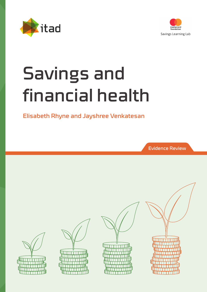



# Savings and financial health

# Elisabeth Rhyne and Jayshree Venkatesan

Evidence Review

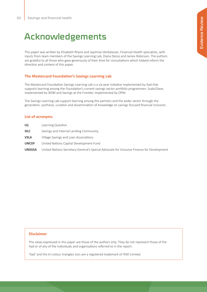# Acknowledgements

This paper was written by Elisabeth Rhyne and Jayshree Venkatesan, Financial Health specialists, with inputs from team members of the Savings Learning Lab, Diana Dezso and James Robinson. The authors are grateful to all those who gave generously of their time for consultations which helped inform the direction and content of this paper.

### **The Mastercard Foundation's Savings Learning Lab**

The Mastercard Foundation Savings Learning Lab is a six-year initiative implemented by Itad that supports learning among the Foundation's current savings sector portfolio programmes: Scale2Save, implemented by WSBI and Savings at the Frontier, implemented by OPM.

The Savings Learning Lab support learning among the partners and the wider sector through the generation, synthesis, curation and dissemination of knowledge on savings focused financial inclusion.

#### **List of acronyms**

| LQ            | Learning Question                                                                         |
|---------------|-------------------------------------------------------------------------------------------|
| <b>SILC</b>   | Savings and Internal Lending Community                                                    |
| <b>VSLA</b>   | Village Savings and Loan Associations                                                     |
| <b>UNCDF</b>  | United Nations Capital Development Fund                                                   |
| <b>UNSGSA</b> | United Nations Secretary-General's Special Advocate for Inclusive Finance for Development |

#### **Disclaimer**

The views expressed in this paper are those of the authors only. They do not represent those of the Itad or of any of the individuals and organisations referred to in the report.

'Itad' and the tri-colour triangles icon are a registered trademark of ITAD Limited.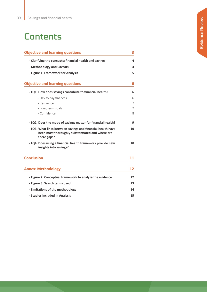# **Contents**

| <b>Objective and learning questions</b>                                                                                        |    |  |
|--------------------------------------------------------------------------------------------------------------------------------|----|--|
| - Clarifying the concepts: financial health and savings                                                                        | 4  |  |
| - Methodology and Caveats                                                                                                      | 4  |  |
| - Figure 1: Framework for Analysis                                                                                             | 5  |  |
| <b>Objective and learning questions</b>                                                                                        | 6  |  |
| - LQ1: How does savings contribute to financial health?                                                                        | 6  |  |
| - Day to day finances                                                                                                          | 6  |  |
| - Resilience                                                                                                                   | 7  |  |
| - Long term goals                                                                                                              | 7  |  |
| - Confidence                                                                                                                   | 8  |  |
| - LQ2: Does the mode of savings matter for financial health?                                                                   | 9  |  |
| - LQ3: What links between savings and financial health have<br>been most thoroughly substantiated and where are<br>there gaps? | 10 |  |
| - LQ4: Does using a financial health framework provide new<br>insights into savings?                                           | 10 |  |
| <b>Conclusion</b>                                                                                                              | 11 |  |
| <b>Annex: Methodology</b>                                                                                                      | 12 |  |
| - Figure 2: Conceptual framework to analyze the evidence                                                                       | 12 |  |
| - Figure 3: Search terms used                                                                                                  | 13 |  |
| - Limitations of the methodology                                                                                               | 14 |  |
| - Studies Included in Analysis                                                                                                 | 15 |  |
|                                                                                                                                |    |  |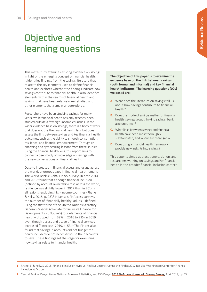# Objective and learning questions

This meta-study examines existing evidence on savings in light of the emerging concept of financial health. It identifies findings from the savings literature that relate to the key elements used to define financial health and explores whether the findings indicate how savings contribute to financial health. It also identifies elements within the realms of financial health and savings that have been relatively well studied and other elements that remain underexplored.

Researchers have been studying savings for many years, while financial health has only recently been studied outside a few high-income countries. In the wider evidence base on savings, there is a body of work that does not use the financial health lens but does assess the link between savings and key financial health outcomes, such as the ability to smooth consumption, resilience, and financial empowerment. Through reanalyzing and synthesizing lessons from these studies using the financial health lens, this report aims to connect a deep body of knowledge on savings with the new conversations on financial health.

Despite increases in financial access and usage across the world, enormous gaps in financial health remain. The World Bank's Global Findex surveys in both 2014 and 2017 found that although financial inclusion (defined by account ownership) rose across the world, resilience was slightly lower in 2017 than in 2014 in all regions, excluding high-income countries (Rhyne & Kelly, 2018, p. 23).<sup>1</sup> In Kenya's FinAccess surveys, the number of 'financially healthy' adults – defined using the first three of the United Nations Secretary-General's Special Advocate for Inclusive Finance for Development's (UNSGSA's) four elements of financial health – dropped from 39% in 2016 to 22% in 2019, even though access and usage of financial services increased (FinAccess, 2019, p. 53).<sup>2</sup> The Findex also found that savings in accounts did not budge: the newly included do not necessarily use their accounts to save. These findings set the stage for examining how savings relate to financial health.

**The objective of this paper is to examine the evidence base on the link between savings (both formal and informal) and key financial health indicators. The learning questions (LQs) we posed are:**

- **A.** What does the literature on savings tell us about how savings contribute to financial health?
- **B.** Does the mode of savings matter for financial health (savings groups, in-kind savings, bank accounts, etc.)?
- **C.** What links between savings and financial health have been most thoroughly substantiated, and where are there gaps?
- **D.** Does using a financial health framework provide new insights into savings?

This paper is aimed at practitioners, donors and researchers working on savings and/or financial health in the broader financial inclusion context.

- **1** Rhyne, E. & Kelly, S. 2018. Financial Inclusion Hype vs. Reality: Deconstructing the Findex 2017 Results. Washington: Center for Financial Inclusion at Accion
- **2** Central Bank of Kenya, Kenya National Bureau of Statistics, and FSD Kenya, **[2019 FinAccess Household Survey, Survey,](file:///Users/jayshreesstuff/Documents/Kai Consulting /2020-30 Work proposals/ITAD/Final final/Central Bank of Kenya, Kenya National Bureau of Statistics, and FSD Kenya, 2019 FinAccess Household Survey, Survey, April 2019, https:/www.centralbank.go.ke/uploads/financial_inclusion/2050404730_FinAccess 2019 Household Survey- Jun. 14 Version.pdf.)** April 2019, pp 53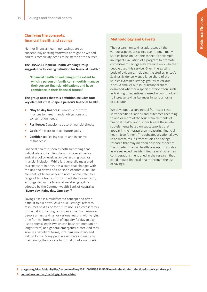### **Clarifying the concepts: financial health and savings**

Neither financial health nor savings are as conceptually as straightforward as might be wished, and this complexity needs to be stated at the outset.

**The UNSGSA Financial Health Working Group suggests the following definition for financial health:3**

**"Financial health or wellbeing is the extent to which a person or family can smoothly manage their current financial obligations and have confidence in their financial future."**

**The group notes that this definition includes four key elements that shape a person's financial health:**

- **•** "**Day to day finances:** Smooth short-term finances to meet financial obligations and consumption needs
- **• Resilience:** Capacity to absorb financial shocks
- **• Goals:** On track to reach future goals
- **• Confidence:** Feeling secure and in control of finances"

Financial health is seen as both something that individuals and families the world over strive for and, at a policy level, as an overarching goal for financial inclusion. While it is generally measured as a snapshot in time, it is a state that changes with the ups and downs of a person's economic life. The elements of financial health noted above refer to a range of time frames from immediate to long-term, as suggested in the financial well-being tagline adopted by the Commonwealth Bank of Australia: "**[Every day. Rainy day. One day.](https://www.commbank.com.au/banking/guidance.html)**"4

Savings itself is a multifaceted concept and often difficult to pin down. As a noun, 'savings' refers to resources held aside for future use. As a verb it refers to the habit of setting resources aside. Furthermore, people amass savings for various reasons with varying time frames, from a pool of liquidity for day to day use to special goals (which can be short, medium or longer-term) or a general emergency buffer. And they save in a variety of forms, including monetary and in-kind forms. Many people even save indirectly by maintaining their access to formal or informal credit.

### **Methodology and Caveats**

The research on savings addresses all the various aspects of savings even though many studies focus on just one aspect. For example, an impact evaluation of a program to promote commitment savings may examine only whether people used this service. Given the existing body of evidence, including the studies in Itad's Savings Evidence Map, a large share of the studies examined savings groups of various kinds. A smaller but still substantial share examined whether a specific intervention, such as training or incentives, caused account holders to increase savings balances in various forms of accounts.

We developed a conceptual framework that sorts specific situations and outcomes according to one or more of the four main elements of financial health, and further breaks these into sub-elements based on subcategories that appear in the literature on measuring financial health (see Annex). The subcategorization allows us to match results from studies on savings research that may mention only one aspect of the broader financial health concept. In addition, as we reviewed, we identified several other key considerations mentioned in the research that could impact financial health through the use of savings.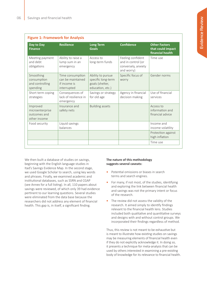| Day to Day<br><b>Finance</b>                                | <b>Resilience</b>                                                    | <b>Long Term</b><br>Goals                                                      | <b>Confidence</b>                                                            | <b>Other Factors</b><br>that could impact<br>financial health |  |  |
|-------------------------------------------------------------|----------------------------------------------------------------------|--------------------------------------------------------------------------------|------------------------------------------------------------------------------|---------------------------------------------------------------|--|--|
| Meeting payment<br>and debt<br>obligations                  | Ability to raise a<br>lump sum in an<br>emergency                    | Access to<br>long-term funds                                                   | Feeling confident<br>and in control (or<br>conversely, anxiety<br>and worry) | Time use                                                      |  |  |
| Smoothing<br>consumption<br>and controlling<br>spending     | Time consumption<br>can be maintained<br>if income is<br>interrupted | Ability to pursue<br>specific long-term<br>goals (shelter,<br>education, etc.) | Specific focus of<br>worry                                                   | Gender norms                                                  |  |  |
| Short term coping<br>strategies                             | Consequences of<br>lack of resilience in<br>emergency                | Savings or strategy<br>for old age                                             | Agency in financial<br>decision making                                       | Use of financial<br>services                                  |  |  |
| Improved<br>microenterprise<br>outcomes and<br>other income | Insurance and<br>safety nets                                         | <b>Building assets</b>                                                         |                                                                              | Access to<br>information and<br>financial advice              |  |  |
| Food security                                               | Liquid savings<br>balances                                           |                                                                                |                                                                              | Income and<br>income volatility                               |  |  |
|                                                             |                                                                      |                                                                                |                                                                              | Protection against<br>high inflation                          |  |  |
|                                                             |                                                                      |                                                                                |                                                                              | Time use                                                      |  |  |

We then built a database of studies on savings, beginning with the English language studies in Itad's Savings Evidence Map. In the second stage, we used Google Scholar to search, using key words and phrases. Finally, we examined academic and institutional databases, such as SSRN and CGAP (see Annex for a full listing). In all, 110 papers about savings were reviewed, of which only 39 had evidence pertinent to our learning questions. Several studies were eliminated from the data base because the researchers did not address any element of financial health. This gap is, in itself, a significant finding.

#### **The nature of this methodology suggests several caveats:**

- **•** Potential omissions or biases in search terms and search engines.
- **•** For many, if not most, of the studies, identifying and exploring the link between financial health and savings was not the primary intent or focus of the research.
- **•** The review did not assess the validity of the research. It aimed simply to identify findings relevant to the financial health lens. Studies included both qualitative and quantitative surveys and designs with and without control groups. We incorporated their findings regardless of method.

Thus, this review is not meant to be exhaustive but is meant to illustrate how existing studies on savings may be measuring elements of financial health even if they do not explicitly acknowledge it. In doing so, it presents a technique for meta-analysis that can be used by others interested in examining a pre-existing body of knowledge for its relevance to financial health.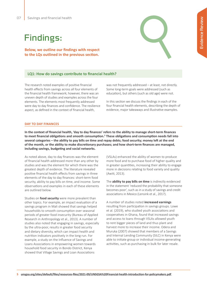# Findings:

**Below, we outline our findings with respect to the LQs outlined in the previous section.**

#### **LQ1: How do savings contribute to financial health?**

The research noted examples of positive financial health effects from savings across all four elements of the financial health framework; however, there was an uneven depth of studies and examples across the four elements. The elements most frequently addressed were day to day finances and confidence. The resilience aspect, as defined in the context of financial health,

was not frequently addressed – at least, not directly. Some long-term goals were addressed (such as education), but others (such as old age) were not.

In this section we discuss the findings in each of the four financial health elements, describing the depth of evidence, major takeaways and illustrative examples.

#### **DAY TO DAY FINANCES**

**In the context of financial health, 'day to day finances' refers to the ability to manage short-term finances to meet financial obligations and smooth consumption.<sup>5</sup> These obligations and consumption needs fall into several categories – the ability to pay bills on time and repay debts; food security; money left at the end of the month, or the ability to make discretionary purchases; and how short-term finances are managed, including savings, budgeting and social networks.**

As noted above, day to day finances was the element of financial health addressed more than any other by studies and was the element for which there was the greatest depth of evidence. The literature revealed positive financial health effects from savings in three elements of the day to day finances: short-term food security, ability to pay bills on time, and income. Some observations and examples in each of these elements are outlined below.

Studies on **food security** were more prevalent than other topics. For example, an impact evaluation of a savings program in Mali showed that savings helped households to smooth consumption over seasonal periods of greater food insecurity (Bureau of Applied Research in Anthropology et al., 2013). A number of studies also noted that engaging in savings, especially by the ultra-poor, results in greater food security and dietary diversity, which can impact health and nutrition indicators positively in the long run. For example, a study on the Influence of Savings and Loans Associations in empowering women towards household food security in Bondo District, Kenya showed that Village Savings and Loan Associations

(VSLAs) enhanced the ability of women to produce more food and to purchase food of higher quality and in greater quantities, increasing their ability to engage more in decisions relating to food variety and quality (Awiti, 2013).

The **ability to pay bills on time** is indirectly evidenced in the statement 'reduced the probability that someone becomes poor', such as in a study of savings and credit associations in Mexico (Lensink et al., 2017).

A number of studies noted **increased earnings**  resulting from participation in savings groups. Lowe et al. (2019), who studied youth associations and cooperatives in Ghana, found that increased savings and access to loans through VSLAs allowed youth to rent bigger pieces of land and thus plant and harvest more to increase their income. Odera and Muruka (2007) showed that members of a Savings and Internal Lending Community (SILC) in Kenya were able to initiate group or individual income-generating activities, such as purchasing in bulk for later resale.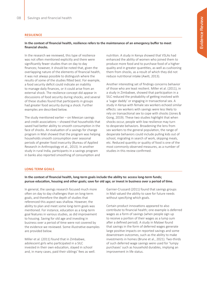#### **RESILIENCE**

#### **In the context of financial health, resilience refers to the maintenance of an emergency buffer to meet financial shocks.**

In the research we reviewed, this type of resilience was not often mentioned explicitly and there were significantly fewer studies than on day to day finances; however, it should be noted that, given the overlapping nature of the elements of financial health, it was not always possible to distinguish where the results of some of the studies fitted best. For example, a food security deficit could indicate an inability to manage daily finances, or it could arise from an external shock. The resilience concept did appear in discussions of food security during shocks, and several of these studies found that participants in groups had greater food security during a shock. Further examples are described below.

The study mentioned earlier – on Mexican savings and credit associations – showed that households that saved had better ability to smooth consumption in the face of shocks. An evaluation of a savings for change program in Mali showed that the program was helping households smooth consumption over seasonal periods of greater food insecurity (Bureau of Applied Research in Anthropology et al., 2013). In another study in rural India, participants in a savings program in banks also reported smoothing of consumption and

nutrition. A study in Kenya showed that VSLAs had enhanced the ability of women who joined them to produce more food and to purchase food of a higher quality and in greater quantities, as well as cushioning them from shocks, as a result of which they did not reduce nutritional intake (Awiti, 2013).

Another interesting set of findings concerns behavior of those who are least resilient. Miller et al. (2011), in a study in Zimbabwe, showed that participation in a SILC reduced the probability of getting involved with a 'sugar daddy' or engaging in transactional sex. A study in Kenya with female sex workers echoed similar effects: sex workers with savings were less likely to rely on transactional sex to cope with shocks (Jones & Gong, 2019). These two studies highlight that when shocks occur, people with low resilience may turn to desperate behaviors. Broadening the lens from sex workers to the general population, the range of desperate behaviors could include pulling kids out of school, migrating in search of work, skipping meals, etc. Reduced quantity or quality of food is one of the most commonly observed measures, as a number of studies in this review confirmed.

#### **LONG TERM GOALS**

**In the context of financial health, long-term goals include the ability to: access long-term funds; pursue education, housing and other goals; save for old age; or invest in business over a period of time.** 

In general, the savings research focused much more often on day to day challenges than on long-term goals, and therefore the depth of studies that referenced this aspect was shallow. However, the ability to plan and meet some long-term goals was mentioned. For instance, education as a long-term goal features in various studies, as did improvement to housing. Saving for old age and investing in business over a period of time were not covered by the evidence we reviewed. Some illustrative examples are provided below.

Miller et al. (2011) found that in Zimbabwe, adolescent girls who participated in a SILC invested in their own education, stayed in school and, in many cases, paid their siblings' fees as well.

Garnier-Crussard (2011) found that savings groups in Mali valued the ability to save for future needs without specifying which goals.

Certain product innovations appeared to also contribute to financial health; one example is deferred wages as a form of savings (when people sign up to receive a portion of their wages as a lump sum after a defined period). A study in Malawi found that savings in the form of deferred wages generate large positive impacts on reported savings and some downstream outcomes, such as the ability to make investments in homes (Brune et al., 2021). Two-thirds of such deferred wage savings were used for 'lumpy purchases' such as household durables, implying an improvement in life status.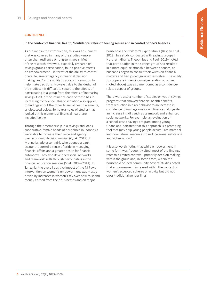#### **CONFIDENCE**

#### **In the context of financial health, 'confidence' refers to feeling secure and in control of one's finances.**

As outlined in the introduction, this was an element that was covered in many of the studies – more often than resilience or long-term goals. Much of the research reviewed, especially research on savings groups participation, found positive effects on empowerment – in terms of the ability to control one's life, greater agency in financial decision making, and/or the ability to access information to help make decisions. However, due to the design of the studies, it is difficult to separate the effects of participating in a group from the effects of increasing savings itself, or the influence each of these has in increasing confidence. This observation also applies to findings about the other financial health elements, as discussed below. Some examples of studies that looked at this element of financial health are included below.

Through their membership in a savings and loans cooperative, female heads of household in Indonesia were able to increase their voice and agency over economic decision making (Quak, 2019). In Mongolia, adolescent girls who opened a bank account reported a sense of pride in managing financial affairs and a greater desire for financial autonomy. They also developed social networks and teamwork skills through participating in the financial education sessions (Shell, 2009–2011). In Tanzania, the overall positive impact of the M-Pawa intervention on women's empowerment was mostly driven by increases in women's say over how to spend money earned from their businesses and on major

household and children's expenditures (Bastian et al., 2018). In a study conducted with savings groups in Northern Ghana, Theophilus and Paul (2019) noted that participation in the savings group had resulted in a more equal relationship between spouses, as husbands began to consult their wives on financial matters and had joined groups themselves. The ability to cooperate in new income-generating activities (noted above) was also mentioned as a confidencerelated aspect of groups.

There were also a number of studies on youth savings programs that showed financial health benefits, from reduction in risky behavior to an increase in confidence to manage one's own finances, alongside an increase in skills such as teamwork and enhanced social networks. For example, an evaluation of a school-based savings program among young Ghanaians indicated that this approach is a promising tool that may help young people accumulate material and nonmaterial resources to reduce sexual risk-taking and victimization.<sup>6</sup>

It is also worth noting that while empowerment in some form was frequently cited, most of the findings refer to a limited context – primarily decision making within the group and, in some cases, within the household or local community. Several studies noted that empowerment increased within the context of women's accepted spheres of activity but did not cross traditional gender lines.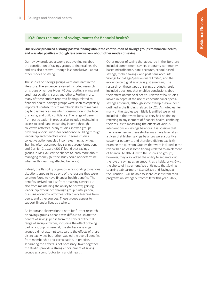#### **LQ2: Does the mode of savings matter for financial health?**

#### **Our review produced a strong positive finding about the contribution of savings groups to financial health, and was also positive – though less conclusive – about other modes of saving.**

Our review produced a strong positive finding about the contribution of savings groups to financial health, and was also positive – though less conclusive – about other modes of saving.

The studies on savings groups were dominant in the literature. The evidence reviewed included research on groups of various types: VSLAs, rotating savings and credit associations, susus and others. Furthermore, many of these studies reported findings related to financial health. Savings groups were seen as especially important contributors to members' ability to manage day to day finances, maintain consumption in the face of shocks, and build confidence. The range of benefits from participation in groups also included maintaining access to credit and expanding income through collective activities. Many studies showed groups providing opportunities for confidence-building through leadership and collective voice. In some studies, collective action enabled income-earning activities. Training often accompanied savings group formation, and Garnier-Crussard (2011) found that savings groups in Mali valued the chance to learn more about managing money (but the study could not determine whether this learning affected behavior).

Indeed, the flexibility of groups in responding to various situations appears to be one of the reasons they were so often found to have financial health benefits. The benefits derived not just from amassing savings but also from maintaining the ability to borrow, gaining leadership experience through group participation, pursuing economic activities collectively, learning from peers, and other sources. These groups appear to support financial lives as a whole.

An important observation to note for further research on savings groups is that it was difficult to isolate the benefit of savings per se from the effects of the full range of group activities, including the effect of being part of a group. In general, the studies on savings groups did not attempt to separate the effects of these distinct activities but rather studied the overall benefits from membership and participation. In practice, separating the effects is not necessary: taken together, the studies provide a strong endorsement of savings groups as a contributor to financial health.

Other modes of saving that appeared in the literature included commitment savings programs, communitybased microfinance, bank accounts, school-based savings, mobile savings, and post bank accounts. Savings for old age/pension were limited, and the evidence on digital savings is just emerging. The research on these types of savings products rarely included questions that enabled conclusions about their effect on financial health. Relatively few studies looked in depth at the use of conventional or special savings accounts, although some examples have been outlined in the findings related to LQ1. As noted earlier, many of the studies we initially identified were not included in the review because they had no finding referring to any element of financial health, confining their results to measuring the effects of various interventions on savings balances. It is possible that the researchers in these studies may have taken it as a given that higher savings balances were a positive customer outcome, and therefore did not explicitly examine the question. Studies that were included in the review had at least some findings related to an element of financial health. As with the studies on groups, however, they also lacked the ability to separate out the role of savings as an amount, as a habit, or vis-à-vis the choice of instrument. We anticipate that Savings Learning Lab partners – Scale2Save and Savings at the Frontier – will be able to share lessons from their programs on savings outcomes later this year (2022).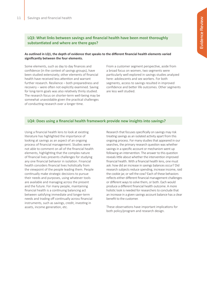### **LQ3: What links between savings and financial health have been most thoroughly substantiated and where are there gaps?**

#### **As outlined in LQ1, the depth of evidence that speaks to the different financial health elements varied significantly between the four elements.**

Some elements, such as day to day finances and confidence (in the context of savings groups), have been studied extensively; other elements of financial health have received less attention and warrant further research. Resilience – both preparedness and recovery – were often not explicitly examined. Saving for long-term goals was also relatively thinly studied. The research focus on shorter-term well-being may be somewhat unavoidable given the practical challenges of conducting research over a longer time.

From a customer segment perspective, aside from a broad focus on women, two segments were particularly well explored in savings studies analyzed here: adolescents and sex workers. For both segments, access to savings resulted in improved confidence and better life outcomes. Other segments are less well studied.

#### **LQ4: Does using a financial health framework provide new insights into savings?**

Using a financial health lens to look at existing literature has highlighted the importance of looking at savings as an aspect of an ongoing process of financial management. Studies were not able to comment on all of the financial health elements, highlighting that the complex nature of financial lives presents challenges for studying any one financial behavior in isolation. Financial health considers financial lives holistically from the viewpoint of the people leading them. People continually make strategic decisions to pursue their needs and purposes, using whatever tools are available and managing across the present and the future. For many people, maintaining financial health is a continuing balancing act between satisfying immediate and longer-term needs and trading off continually across financial instruments, such as savings, credit, investing in assets, income generation, etc.

Research that focuses specifically on savings may risk treating savings as an isolated activity apart from this ongoing process. For many studies that appeared in our searches, the primary research question was whether savings in a specific account or mechanism went up following an intervention. The answer to this question reveals little about whether the intervention improved financial health. With a financial health lens, one must ask: how did an increase in savings balances occur? Did research subjects reduce spending, increase income, raid the cookie jar, or sell the cow? Each of these behaviors reflects either different financial management challenges or different ways to solve them, or both. Each would produce a different financial health outcome. A more holistic look is needed for researchers to conclude that an increase in a given savings account balance has a clear benefit to the customer.

These observations have important implications for both policy/program and research design.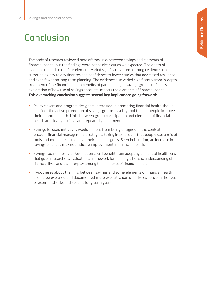# Conclusion

The body of research reviewed here affirms links between savings and elements of financial health, but the findings were not as clear-cut as we expected. The depth of evidence related to the four elements varied significantly from a strong evidence base surrounding day to day finances and confidence to fewer studies that addressed resilience and even fewer on long-term planning. The evidence also varied significantly from in-depth treatment of the financial health benefits of participating in savings groups to far less exploration of how use of savings accounts impacts the elements of financial health. **This overarching conclusion suggests several key implications going forward:**

- Policymakers and program designers interested in promoting financial health should consider the active promotion of savings groups as a key tool to help people improve their financial health. Links between group participation and elements of financial health are clearly positive and repeatedly documented.
- **•** Savings-focused initiatives would benefit from being designed in the context of broader financial management strategies, taking into account that people use a mix of tools and modalities to achieve their financial goals. Seen in isolation, an increase in savings balances may not indicate improvement in financial health.
- **•** Savings-focused research/evaluation could benefit from adopting a financial health lens that gives researchers/evaluators a framework for building a holistic understanding of financial lives and the interplay among the elements of financial health.
- **•** Hypotheses about the links between savings and some elements of financial health should be explored and documented more explicitly, particularly resilience in the face of external shocks and specific long-term goals.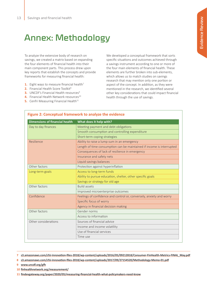# Annex: Methodology

To analyze the extensive body of research on savings, we created a matrix based on expanding the four elements of financial health into their main component parts. This process drew upon key reports that establish the concepts and provide frameworks for measuring financial health:

- **1.** Eight ways to measure financial health<sup>7</sup>
- **2.** Financial Health Score Toolkit<sup>8</sup>
- **3.** UNCDF's Financial Health resources<sup>9</sup>
- **4.** Financial Health Network resources<sup>10</sup>
- **5.** Cenfri Measuring Financial Health<sup>11</sup>

We developed a conceptual framework that sorts specific situations and outcomes achieved through a savings instrument according to one or more of the four main elements of financial health. These elements are further broken into sub-elements, which allows us to match studies on savings research that may mention only one portion or aspect of the concept. In addition, as they were mentioned in the research, we identified several other key considerations that could impact financial health through the use of savings.

| <b>Dimensions of financial health</b> | What does it help with?                                               |  |  |  |
|---------------------------------------|-----------------------------------------------------------------------|--|--|--|
| Day to day finances                   | Meeting payment and debt obligations                                  |  |  |  |
|                                       | Smooth consumption and controlling expenditure                        |  |  |  |
|                                       | Short-term coping strategies                                          |  |  |  |
| Resilience                            | Ability to raise a lump sum in an emergency                           |  |  |  |
|                                       | Length of time consumption can be maintained if income is interrupted |  |  |  |
|                                       | Consequences of lack of resilience in emergency                       |  |  |  |
|                                       | Insurance and safety nets                                             |  |  |  |
|                                       | Liquid savings balances                                               |  |  |  |
| Other factors                         | Protection against hyperinflation                                     |  |  |  |
| Long-term goals                       | Access to long-term funds                                             |  |  |  |
|                                       | Ability to pursue education, shelter, other specific goals            |  |  |  |
|                                       | Savings or strategy for old age                                       |  |  |  |
| Other factors                         | <b>Build assets</b>                                                   |  |  |  |
|                                       | Improved microenterprise outcomes                                     |  |  |  |
| Confidence                            | Feelings of confidence and control or, conversely, anxiety and worry  |  |  |  |
|                                       | Specific focus of worry                                               |  |  |  |
|                                       | Agency in financial decision making                                   |  |  |  |
| Other factors                         | Gender norms                                                          |  |  |  |
|                                       | Access to information                                                 |  |  |  |
| Other considerations                  | Sources of financial advice                                           |  |  |  |
|                                       | Income and income volatility                                          |  |  |  |
|                                       | Use of financial services                                             |  |  |  |
|                                       | Time use                                                              |  |  |  |

**7 [s3.amazonaws.com/cfsi-innovation-files-2018/wp-content/uploads/2016/05/09212818/Consumer-FinHealth-Metrics-FINAL\\_May.pdf](https://s3.amazonaws.com/cfsi-innovation-files-2018/wp-content/uploads/2016/05/09212818/Consumer-FinHealth-Metrics-FINAL_May.pdf)**

- **8 [s3.amazonaws.com/cfsi-innovation-files-2018/wp-content/uploads/2017/09/27154520/Methodology-Memo-01.pdf](https://s3.amazonaws.com/cfsi-innovation-files-2018/wp-content/uploads/2017/09/27154520/Methodology-Memo-01.pdf)**
- **9 [www.uncdf.org/gfh](https://www.uncdf.org/gfh)**
- **1[0 finhealthnetwork.org/measurement/](https://finhealthnetwork.org/measurement/)**

**1[1 findevgateway.org/paper/2020/05/measuring-financial-health-what-policymakers-need-know](https://www.findevgateway.org/paper/2020/05/measuring-financial-health-what-policymakers-need-know)**

#### **Figure 2: Conceptual framework to analyze the evidence**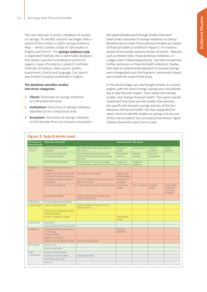The next task was to build a database of studies on savings. To identify research we began with a search of the studies in Itad's Savings Evidence Map – which collates a total of 354 studies in English and French. The **[savings evidence map](https://mangotree.org/Evidence-Map)** is organized helpfully into a searchable database that allows searches according to countries/ regions, types of evidence, research methods, methods of analysis, data source, quality assessment criteria and language. Our search was limited to papers published in English.

#### **The database classifies studies into three categories:**

- **1. Clients:** Outcomes of savings initiatives on clients/beneficiaries.
- **2. Institutions:** Outcomes of savings initiatives identified at the institutional level.
- **3. Ecosystem:** Outcomes of savings initiatives on the broader financial inclusion ecosystem.

We systematically went through studies that were listed under outcomes of savings initiatives on clients/ beneficiaries to check if the evidence included any aspect of financial health as outlined in Figure 2. For instance, several of the studies examine drivers of choice – features such as interest rates, financial literacy initiatives, or nudges used in delivering products – but did not examine further outcomes on financial health indicators. Studies that used an experimental approach to increase savings were disregarded since the long-term, permanent impact was outside the scope of the study.

In the second stage, we used Google Scholar as a search engine, with the search strings 'savings poor households day to day finances impact', 'loan repayment savings studies' and 'savings financial health'. This search quickly established that there are few studies that examine the specific link between savings and any of the four elements of financial health. We then expanded the search terms to identify studies on savings and any one of the criteria listed in our conceptual framework. Figure 3 below shows the search terms used.

| <b>Dimensions of</b><br>financial health<br>Day-to-day<br>finances | What does it help with?                                                   | Search terms for online search                                                                      |                                    |                          |                         |                                                             |
|--------------------------------------------------------------------|---------------------------------------------------------------------------|-----------------------------------------------------------------------------------------------------|------------------------------------|--------------------------|-------------------------|-------------------------------------------------------------|
|                                                                    | Meeting payment and debt<br>obligations                                   | Manageable debt load; paying debts and<br>bills on time                                             | Repayment<br>burden                | Loan repayment           | Financial<br>behaviour  | Timely<br>payments                                          |
|                                                                    | Smooth consumption and<br>controlling expenditure                         | e.g. food security; money left at end of<br>month; ability to make small discretionary<br>purchases | Consumption<br>response            | Excessive<br>spending    | Cash flow<br>management |                                                             |
|                                                                    | Short term coping strategies                                              | How short-term finances are managed,<br>including savings, budgeting, social networks               | Savings and<br>social networks     | Savings and<br>budgeting |                         |                                                             |
| Resilience                                                         | Ability to raise a lump sum in an<br>emergency                            |                                                                                                     |                                    |                          |                         |                                                             |
|                                                                    | Length of time consumption can be<br>maintained if income is interrupted  | May be days, weeks, months                                                                          | Mobile money<br>savings resilience |                          |                         |                                                             |
|                                                                    | Consequences of lack of resilience<br>in emergency                        | e.g. Did not obtain medical care or medicine<br>due to lack of funds                                | Savings help in<br>emergency       |                          |                         |                                                             |
|                                                                    | Insurance and safety nets                                                 | Includes both formal and non-formal sources                                                         | Precautionary<br>savings           | Micro-insurance          | Emergency<br>savings    | Savings ability<br>to raise lump<br>sum during<br>emergency |
|                                                                    | Liquid savings balances                                                   | Any form (cash at home, mobile money<br>account, bank balance)                                      |                                    |                          |                         |                                                             |
| Other factors                                                      | Protection against hyperinflation                                         |                                                                                                     |                                    |                          |                         |                                                             |
| Long term goals                                                    | Access to long-term funds                                                 | Long-term savings in money or in kind:<br>ability to borrow                                         |                                    |                          |                         |                                                             |
|                                                                    | Ability to pursue education, shelter,<br>other specific goals             |                                                                                                     |                                    |                          |                         |                                                             |
|                                                                    | Savings or strategy for old age                                           |                                                                                                     | Precautionary<br>savings           |                          |                         |                                                             |
| Other factors                                                      | <b>Build assets</b>                                                       |                                                                                                     |                                    |                          |                         |                                                             |
|                                                                    | Improved microenterprise outcomes                                         |                                                                                                     |                                    |                          |                         |                                                             |
| Confidence                                                         | Feelings of confidence and control<br>or conversely,<br>anxiety and worry |                                                                                                     | Financial<br>capabilities          |                          |                         |                                                             |
|                                                                    | Specific focus of worry                                                   |                                                                                                     |                                    |                          |                         |                                                             |
|                                                                    | Agency in financial decision making                                       | Intra-household dynamics                                                                            |                                    |                          |                         |                                                             |
| Other factors                                                      | Gender norms                                                              |                                                                                                     |                                    |                          |                         |                                                             |
|                                                                    | Access to information                                                     |                                                                                                     |                                    |                          |                         |                                                             |
| Other                                                              | Sources of financial advice                                               |                                                                                                     |                                    |                          |                         |                                                             |
| considerations                                                     | Income and income volatility                                              | Includes seasonality                                                                                |                                    |                          |                         |                                                             |
|                                                                    | Use of financial services                                                 |                                                                                                     |                                    |                          |                         |                                                             |
|                                                                    | Time use                                                                  |                                                                                                     |                                    |                          |                         |                                                             |

## **Figure 3: Search terms used**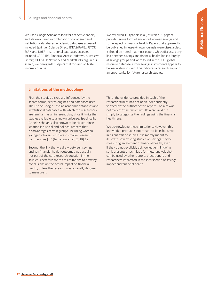We used Google Scholar to look for academic papers, and also examined a combination of academic and institutional databases. Academic databases accessed included Springer, Science Direct, IDEAS/RePEc, JSTOR, SSRN and NBER. Institutional databases accessed included CGAP, IPA, Financial Access Initiative, Microsave Library, ODI, SEEP Network and MarketLinks.org. In our search, we disregarded papers that focused on highincome countries.

We reviewed 110 papers in all, of which 39 papers provided some form of evidence between savings and some aspect of financial health. Papers that appeared to be published in lesser-known journals were disregarded. It should be noted that most papers which discussed any link between savings and financial health looked largely at savings groups and were found in the SEEP global resource database. Other savings instruments appear to be less widely studied. This indicates a research gap and an opportunity for future research studies.

## **Limitations of the methodology**

First, the studies picked are influenced by the search terms, search engines and databases used. The use of Google Scholar, academic databases and institutional databases with which the researchers are familiar has an inherent bias, since it limits the studies available to a known universe. Specifically, Google Scholar is also known to be biased, since 'citation is a social and political process that disadvantages certain groups, including women, younger scholars, scholars in smaller research communities […]' (Jensenius et al., 2018).12

Second, the link that we draw between savings and key financial health outcomes was usually not part of the core research question in the studies. Therefore there are limitations to drawing conclusions on the actual impact on financial health, unless the research was originally designed to measure it.

Third, the evidence provided in each of the research studies has not been independently verified by the authors of this report. The aim was not to determine which results were valid but simply to categorize the findings using the financial health lens.

We acknowledge these limitations. However, this knowledge product is not meant to be exhaustive in its analysis of studies. It is merely meant to illustrate how existing studies on savings may be measuring an element of financial health, even if they do not explicitly acknowledge it. In doing so, it presents a technique for meta-analysis that can be used by other donors, practitioners and researchers interested in the intersection of savings impact and financial health.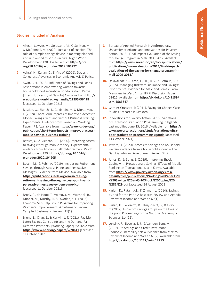### **Studies Included in Analysis**

- **1.** Aker, J., Sawyer, M., Goldstein, M., O'Sullivan, M., & McConnell, M. (2020). Just a bit of cushion: The role of a simple savings device in meeting planned and unplanned expenses in rural Niger. World Development 128. Available from **[https://doi.](https://www.sciencedirect.com/science/article/abs/pii/S0305750X19304218?via%3Dihub) [org/10.1016/j.worlddev.2019.104772](https://www.sciencedirect.com/science/article/abs/pii/S0305750X19304218?via%3Dihub)**
- **2.** Ashraf, N., Karlan, D., & Yin, W. (2006). Deposit Collectors. Advances in Economic Analysis & Policy.
- **3.** Awiti, L. H. (2013). Influence of Savings and Loans Associations in empowering women towards household food security in Bondo District, Kenya. [Thesis, University of Nairobi] Available from **[http://](http://erepository.uonbi.ac.ke/handle/11295/56418) [erepository.uonbi.ac.ke/handle/11295/56418](http://erepository.uonbi.ac.ke/handle/11295/56418)** [accessed 11 October 2021]
- **4.** Bastian, G., Bianchi, I., Goldstein, M. & Montalvao, J. (2018). Short-Term Impacts of Improved Access to Mobile Savings, with and without Business Training: Experimental Evidence from Tanzania – Working Paper 478. Available from **[https://www.cgdev.org/](https://www.cgdev.org/publication/short-term-impacts-improved-access-mobile-savings-business-training) [publication/short-term-impacts-improved-access](https://www.cgdev.org/publication/short-term-impacts-improved-access-mobile-savings-business-training)[mobile-savings-business-training](https://www.cgdev.org/publication/short-term-impacts-improved-access-mobile-savings-business-training)**
- **5.** Batista, C., & Vicente, P. C. (2020). Improving access to savings through mobile money: Experimental evidence from African smallholder farmers. World Development 129. **[https://doi.org/10.1016/j.](https://www.sciencedirect.com/science/article/abs/pii/S0305750X20300310?via%3Dihub) [worlddev.2020.104905](https://www.sciencedirect.com/science/article/abs/pii/S0305750X20300310?via%3Dihub)**
- **6.** Bosch, M., & Rubli, A. (2019). Increasing Retirement Savings through Access Points and Persuasive Messages: Evidence from Mexico. Available from **[https://publications.iadb.org/en/increasing](https://publications.iadb.org/en/increasing-retirement-savings-through-access-points-and-persuasive-messages-evidence-mexico)[retirement-savings-through-access-points-and](https://publications.iadb.org/en/increasing-retirement-savings-through-access-points-and-persuasive-messages-evidence-mexico)[persuasive-messages-evidence-mexico](https://publications.iadb.org/en/increasing-retirement-savings-through-access-points-and-persuasive-messages-evidence-mexico)** [accessed 11 October 2021]
- **7.** Brody, C., de Hoop, T., Vojtkova, M., Warnock, R., Dunbar, M., Murthy, P., & Dworkin, S. L. (2015). Economic Self-Help Group Programs for Improving Women's Empowerment: A Systematic Review. Campbell Systematic Reviews 11(1).
- **8.** Brune, L., Chyn, E., & Kerwin, J. T. (2021). Pay Me Later: Savings Constraints and the Demand for Deferred Payments. [Working Paper] Available from **<https://www.nber.org/papers/w28611>** [accessed 11 October 2021]
- **9.** Bureau of Applied Research in Anthropology, University of Arizona and Innovations for Poverty Action (2013). Final Impact Evaluation of the Saving for Change Program in Mali, 2009-2012. Available from **[https://www.norad.no/en/toolspublications/](https://www.norad.no/en/toolspublications/publications/ngo-evaluations/2014/final-impact-evaluation-of-the-saving-for-change-program-in-mali-2009-2012/) [publications/ngo-evaluations/2014/final-impact](https://www.norad.no/en/toolspublications/publications/ngo-evaluations/2014/final-impact-evaluation-of-the-saving-for-change-program-in-mali-2009-2012/)[evaluation-of-the-saving-for-change-program-in](https://www.norad.no/en/toolspublications/publications/ngo-evaluations/2014/final-impact-evaluation-of-the-saving-for-change-program-in-mali-2009-2012/)[mali-2009-2012/](https://www.norad.no/en/toolspublications/publications/ngo-evaluations/2014/final-impact-evaluation-of-the-saving-for-change-program-in-mali-2009-2012/)**
- **10.** Delavallade, C., Dizon, F., Hill, R. V., & Petraud, J. P. (2015). Managing Risk with Insurance and Savings: Experimental Evidence for Male and Female Farm Managers in West Africa. IFPRI Discussion Paper 01426. Available from **[http://dx.doi.org/10.2139/](https://papers.ssrn.com/sol3/papers.cfm?abstract_id=2583847) [ssrn.2583847](https://papers.ssrn.com/sol3/papers.cfm?abstract_id=2583847)**
- 11. Garnier-Crussard, P. (2011). Saving for Change Case Studies Research in Sirakoro.
- **12.** Innovations for Poverty Action [2018]. Variations of Ultra-Poor Graduation Programming in Uganda. Last modified June 15, 2016. Available from **[https://](https://www.poverty-action.org/study/variations-ultra-poor-graduation-programming-uganda) [www.poverty-action.org/study/variations-ultra](https://www.poverty-action.org/study/variations-ultra-poor-graduation-programming-uganda)[poor-graduation-programming-uganda](https://www.poverty-action.org/study/variations-ultra-poor-graduation-programming-uganda)** [accessed 11 October 2021]
- **13.** Jawara, H. (2020). Access to savings and household welfare evidence from a household survey in The Gambia. African Development Review 32(2).
- **14.** Jones, K., & Gong, E. (2019). Improving Shock-Coping with Precautionary Savings: Effects of Mobile Banking on Transactional Sex in Kenya. Available from **[https://www.poverty-action.org/sites/](https://www.poverty-action.org/sites/default/files/publications/Working%20Paper%20-%20Savings%20and%20Shock%20Coping%20%281%29.pdf) [default/files/publications/Working%20Paper%20](https://www.poverty-action.org/sites/default/files/publications/Working%20Paper%20-%20Savings%20and%20Shock%20Coping%20%281%29.pdf) [-%20Savings%20and%20Shock%20Coping%20](https://www.poverty-action.org/sites/default/files/publications/Working%20Paper%20-%20Savings%20and%20Shock%20Coping%20%281%29.pdf) [%281%29.pdf](https://www.poverty-action.org/sites/default/files/publications/Working%20Paper%20-%20Savings%20and%20Shock%20Coping%20%281%29.pdf)** [accessed 24 August 2021]
- **15.** Karlan, D., Ratan, A.L., & Zinman, J. (2014). Savings by and for the Poor: A Research Review and Agenda. Review of Income and Wealth 60(1).
- **16.** Karlan, D., Savonitto, B., Thuysbaert, B., & Udry, C. (2017). Impact of savings groups on the lives of the poor. Proceedings of the National Academy of Sciences 114(12).
- **17.** Lensink, R., Roselia, S. J., & Van den Berg, M. (2017). Do Savings and Credit Institutions Reduce Vulnerability? New Evidence from Mexico. Review of Income and Wealth 63(2). Available from **[http://dx.doi.org/10.1111/roiw.12213](https://onlinelibrary.wiley.com/doi/10.1111/roiw.12213)**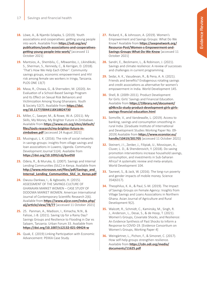- **18.** Löwe, A., & Njambi-Szlapka, S. (2019). Youth associations and cooperatives: getting young people into work. Available from **[https://odi.org/en/](https://odi.org/en/publications/youth-associations-and-cooperatives-getting-young-people-into-work/) [publications/youth-associations-and-cooperatives](https://odi.org/en/publications/youth-associations-and-cooperatives-getting-young-people-into-work/)[getting-young-people-into-work/](https://odi.org/en/publications/youth-associations-and-cooperatives-getting-young-people-into-work/)** [accessed 11 October 2021]
- **19.** Mantsios, A., Shembilu, C., Mbwambo, J., Likindikoki, S., Sherman, S., Kennedy, C., & Kerrigan, D. (2018). 'That's How We Help Each Other': Community savings groups, economic empowerment and HIV risk among female sex workers in Iringa, Tanzania. PLOS ONE 13(7)
- **20.** Masa, R., Chowa, G., & Sherraden, M. (2020). An Evaluation of a School-Based Savings Program and Its Effect on Sexual Risk Behaviors and Victimization Among Young Ghanaians. Youth & Society 52(7). Available from **[https://doi.](https://journals.sagepub.com/doi/10.1177/0044118X18824730) [org/10.1177/0044118X18824730](https://journals.sagepub.com/doi/10.1177/0044118X18824730)**
- **21.** Miller, C., Sawyer, M., & Rowe, W.-A. (2011). My Skills, My Money, My Brighter Future in Zimbabwe. Available from **[https://www.crs.org/sites/default/](https://www.crs.org/sites/default/files/tools-research/my-brighter-future-in-zimbabwe.pdf) [files/tools-research/my-brighter-future-in](https://www.crs.org/sites/default/files/tools-research/my-brighter-future-in-zimbabwe.pdf)[zimbabwe.pdf](https://www.crs.org/sites/default/files/tools-research/my-brighter-future-in-zimbabwe.pdf)** [accessed 24 August 2021]
- **22.** Musinguzi, L. K. (2016). The role of social networks in savings groups: insights from village savings and loan associations in Luwero, Uganda. Community Development Journal 51(4). Available from **<https://doi.org/10.1093/cdj/bsv050>**
- **23.** Odera, R., & Muruka, G. (2007). Savings and Internal Lending Communities (SILC) in Kenya. Available from **[http://www.microsave.net/files/pdf/Savings\\_and\\_](http://www.microsave.net/files/pdf/Savings_and_Internal_Lending_Communities_SILC_in_Kenya.pdf) Internal\_Lending\_Communities\_SILC\_in\_Kenya.pdf**
- **24.** Owusu-Dankwa, I., & Agboado, H. (2015). ASSESSMENT OF THE SAVINGS CULTURE OF GHANAIAN MARKET WOMEN – CASE STUDY OF DODOWA MARKET WOMEN. American International Journal of Contemporary Scientific Research 2(6). Available from **[https://www.aijcsr.com/index.php/](https://www.aijcsr.com/index.php/aij/article/view/78/77) [aij/article/view/78/77](https://www.aijcsr.com/index.php/aij/article/view/78/77)** [accessed 11 October 2021]
- **25.** 25. Panman, A., Madison, I., Kimacha, N.N., & Falisse, J.-B. (2021). Saving Up for a Rainy Day? Savings Groups and Resilience to Flooding in Dar es Salaam, Tanzania. Urban Forum 33. Available from **[https://doi.org/10.1007/s12132-021-09424-w](https://link.springer.com/article/10.1007/s12132-021-09424-w)**
- **26.** Quak, E. (2019) Linking Participation with Economic Advancement: PEKKA Case Study.
- **27.** Rickard, K., & Johnsson, A. (2019). Women's Empowerment and Savings Groups: What Do We Know? Available from **[https://seepnetwork.org/](https://seepnetwork.org/Resource-Post/Women-s-Empowerment-and-Savings-Groups-What-Do-We-Know) [Resource-Post/Women-s-Empowerment-and-](https://seepnetwork.org/Resource-Post/Women-s-Empowerment-and-Savings-Groups-What-Do-We-Know)[Savings-Groups-What-Do-We-Know](https://seepnetwork.org/Resource-Post/Women-s-Empowerment-and-Savings-Groups-What-Do-We-Know)** [accessed 11 October 2021]
- **28.** Sandri, E., Beckmann, L., & Robinson, J. (2021). Savings and climate resilience: A review of successes and challenges in current programming.
- **29.** Sedai, A. K., Vasudevan, R., & Pena, A. A. (2021). Friends and benefits? Endogenous rotating savings and credit associations as alternative for women's empowerment in India. World Development 145.
- **30.** Shell, B. (2009–2011). Product Development for Girls: Girls' Savings and Financial Education. Available from **[https://1library.net/document/](https://1library.net/document/q04krx3z-study-product-development-girls-girls-savings-financial-education.html) [q04krx3z-study-product-development-girls-girls](https://1library.net/document/q04krx3z-study-product-development-girls-girls-savings-financial-education.html)[savings-financial-education.html](https://1library.net/document/q04krx3z-study-product-development-girls-girls-savings-financial-education.html)**
- **31.** Somville, V., and Vandewalle, L. (2019). Access to banking, savings and consumption smoothing in rural India. [Graduate Institute of International and Development Studies Working Paper No. 09- 2019] Available from **[https://www.econstor.eu/](https://www.econstor.eu/handle/10419/201705) [handle/10419/201705](https://www.econstor.eu/handle/10419/201705)** [accessed 11 October 2021]
- **32.** Steinert, J I., Zenker, J., Filipiak, U., Movsisyan, A., Cluver, L. D., & Shenderovich, Y. (2018). Do saving promotion interventions increase household savings, consumption, and investments in Sub-Saharan Africa? A systematic review and meta-analysis. World Development 104.
- **33.** Tavneet, S., & Jack, W. (2016). The long-run poverty and gender impacts of mobile money. Science 354(6317).
- **34.** Theophilus, K. A., & Paul, S.-M. (2019). The Impact of Savings Groups on Female Agency: Insights from Village Savings and Loans Associations in Northern Ghana. Asian Journal of Agriculture and Rural Development 9(2).
- **35.** Walcott, R., Schmidt, C., Kaminsky, M., Singh, R. J., Anderson¸ L., Desai, S., & de Hoop, T. (2021). Women's Groups, Covariate Shocks, and Resilience: An Evidence Synthesis of Past Shocks to Inform a Response to COVID-19. [Evidence Consortium on Women's Groups, Working Paper 4]
- **36.** Weingärtner, L., Pichon, F., & Simonet, C. (2017). How self-help groups strengthen resilience. Available from **[https://cdn.odi.org/media/](https://cdn.odi.org/media/documents/11625.pdf) [documents/11625.pdf](https://cdn.odi.org/media/documents/11625.pdf)**